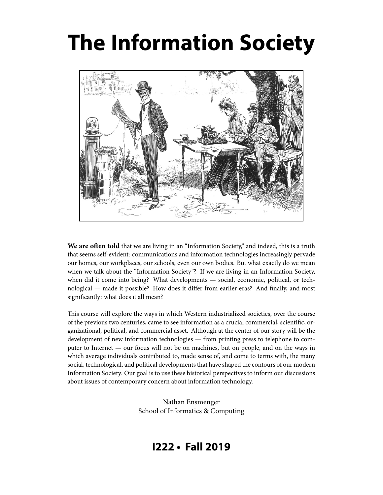# **The Information Society**



**We are often told** that we are living in an "Information Society," and indeed, this is a truth that seems self-evident: communications and information technologies increasingly pervade our homes, our workplaces, our schools, even our own bodies. But what exactly do we mean when we talk about the "Information Society"? If we are living in an Information Society, when did it come into being? What developments — social, economic, political, or technological — made it possible? How does it differ from earlier eras? And finally, and most significantly: what does it all mean?

This course will explore the ways in which Western industrialized societies, over the course of the previous two centuries, came to see information as a crucial commercial, scientific, organizational, political, and commercial asset. Although at the center of our story will be the development of new information technologies — from printing press to telephone to computer to Internet — our focus will not be on machines, but on people, and on the ways in which average individuals contributed to, made sense of, and come to terms with, the many social, technological, and political developments that have shaped the contours of our modern Information Society. Our goal is to use these historical perspectives to inform our discussions about issues of contemporary concern about information technology.

> Nathan Ensmenger School of Informatics & Computing

# **I222 • Fall 2019**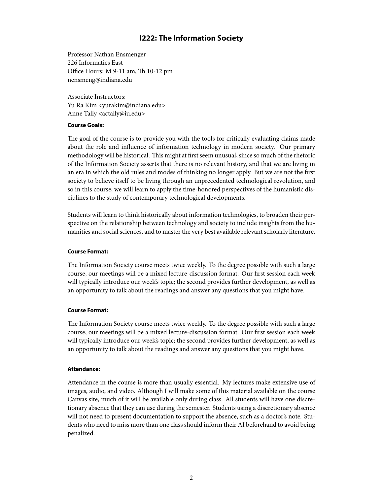### **I222: The Information Society**

Professor Nathan Ensmenger 226 Informatics East Office Hours: M 9-11 am, Th 10-12 pm nensmeng@indiana.edu

Associate Instructors: Yu Ra Kim <yurakim@indiana.edu> Anne Tally <actally@iu.edu>

#### **Course Goals:**

The goal of the course is to provide you with the tools for critically evaluating claims made about the role and influence of information technology in modern society. Our primary methodology will be historical. This might at first seem unusual, since so much of the rhetoric of the Information Society asserts that there is no relevant history, and that we are living in an era in which the old rules and modes of thinking no longer apply. But we are not the first society to believe itself to be living through an unprecedented technological revolution, and so in this course, we will learn to apply the time-honored perspectives of the humanistic disciplines to the study of contemporary technological developments.

Students will learn to think historically about information technologies, to broaden their perspective on the relationship between technology and society to include insights from the humanities and social sciences, and to master the very best available relevant scholarly literature.

#### **Course Format:**

The Information Society course meets twice weekly. To the degree possible with such a large course, our meetings will be a mixed lecture-discussion format. Our first session each week will typically introduce our week's topic; the second provides further development, as well as an opportunity to talk about the readings and answer any questions that you might have.

#### **Course Format:**

The Information Society course meets twice weekly. To the degree possible with such a large course, our meetings will be a mixed lecture-discussion format. Our first session each week will typically introduce our week's topic; the second provides further development, as well as an opportunity to talk about the readings and answer any questions that you might have.

#### **Attendance:**

Attendance in the course is more than usually essential. My lectures make extensive use of images, audio, and video. Although I will make some of this material available on the course Canvas site, much of it will be available only during class. All students will have one discretionary absence that they can use during the semester. Students using a discretionary absence will not need to present documentation to support the absence, such as a doctor's note. Students who need to miss more than one class should inform their AI beforehand to avoid being penalized.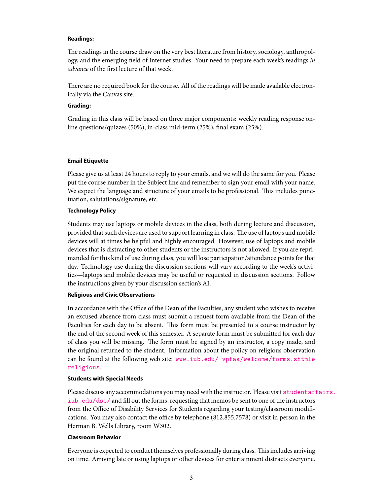#### **Readings:**

The readings in the course draw on the very best literature from history, sociology, anthropology, and the emerging field of Internet studies. Your need to prepare each week's readings in advance of the first lecture of that week.

There are no required book for the course. All of the readings will be made available electronically via the Canvas site.

#### **Grading:**

Grading in this class will be based on three major components: weekly reading response online questions/quizzes (50%); in-class mid-term (25%); final exam (25%).

#### **Email Etiquette**

Please give us at least 24 hours to reply to your emails, and we will do the same for you. Please put the course number in the Subject line and remember to sign your email with your name. We expect the language and structure of your emails to be professional. This includes punctuation, salutations/signature, etc.

#### **Technology Policy**

Students may use laptops or mobile devices in the class, both during lecture and discussion, provided that such devices are used to support learning in class. The use of laptops and mobile devices will at times be helpful and highly encouraged. However, use of laptops and mobile devices that is distracting to other students or the instructors is not allowed. If you are reprimanded for this kind of use during class, you will lose participation/attendance points for that day. Technology use during the discussion sections will vary according to the week's activities—laptops and mobile devices may be useful or requested in discussion sections. Follow the instructions given by your discussion section's AI.

#### **Religious and Civic Observations**

In accordance with the Office of the Dean of the Faculties, any student who wishes to receive an excused absence from class must submit a request form available from the Dean of the Faculties for each day to be absent. This form must be presented to a course instructor by the end of the second week of this semester. A separate form must be submitted for each day of class you will be missing. The form must be signed by an instructor, a copy made, and the original returned to the student. Information about the policy on religious observation can be found at the following web site:  $www.iub.edu/~vpfaa/welcome/forms.shtmll#$ [religious](www .iub.edu/~vpfaa/welcome/forms.shtml#religious).

#### **Students with Special Needs**

Please discuss any accommodations you may need with the instructor. Please visit [studentaff](studentaffairs.iub.edu/dss/)airs. [iub.edu/dss/](studentaffairs.iub.edu/dss/) and fill out the forms, requesting that memos be sent to one of the instructors from the Office of Disability Services for Students regarding your testing/classroom modifications. You may also contact the office by telephone (812.855.7578) or visit in person in the Herman B. Wells Library, room W302.

#### **Classroom Behavior**

Everyone is expected to conduct themselves professionally during class. This includes arriving on time. Arriving late or using laptops or other devices for entertainment distracts everyone.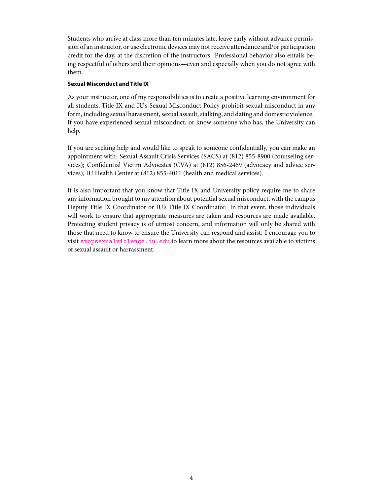Students who arrive at class more than ten minutes late, leave early without advance permission of an instructor, or use electronic devices may not receive attendance and/or participation credit for the day, at the discretion of the instructors. Professional behavior also entails being respectful of others and their opinions—even and especially when you do not agree with them.

#### **Sexual Misconduct and Title IX**

As your instructor, one of my responsibilities is to create a positive learning environment for all students. Title IX and IU's Sexual Misconduct Policy prohibit sexual misconduct in any form, including sexual harassment, sexual assault, stalking, and dating and domestic violence. If you have experienced sexual misconduct, or know someone who has, the University can help.

If you are seeking help and would like to speak to someone confidentially, you can make an appointment with: Sexual Assault Crisis Services (SACS) at (812) 855-8900 (counseling services); Confidential Victim Advocates (CVA) at (812) 856-2469 (advocacy and advice services); IU Health Center at (812) 855-4011 (health and medical services).

It is also important that you know that Title IX and University policy require me to share any information brought to my attention about potential sexual misconduct, with the campus Deputy Title IX Coordinator or IU's Title IX Coordinator. In that event, those individuals will work to ensure that appropriate measures are taken and resources are made available. Protecting student privacy is of utmost concern, and information will only be shared with those that need to know to ensure the University can respond and assist. I encourage you to visit <stopsexualviolence.iu.edu> to learn more about the resources available to victims of sexual assault or harrassment.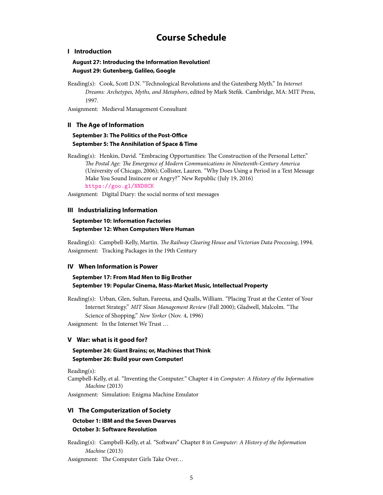## **Course Schedule**

#### **I Introduction**

#### **August 27: Introducing the Information Revolution! August 29: Gutenberg, Galileo, Google**

Reading(s): Cook, Scott D.N. "Technological Revolutions and the Gutenberg Myth." In Internet Dreams: Archetypes, Myths, and Metaphors, edited by Mark Stefik. Cambridge, MA: MIT Press, 1997.

Assignment: Medieval Management Consultant

#### **II The Age of Information**

#### **September 3: The Politics of the Post-Office September 5: The Annihilation of Space & Time**

Reading(s): Henkin, David. "Embracing Opportunities: The Construction of the Personal Letter." The Postal Age: The Emergence of Modern Communications in Nineteenth-Century America (University of Chicago, 2006); Collister, Lauren. "Why Does Using a Period in a Text Message Make You Sound Insincere or Angry?" New Republic (July 19, 2016) <https://goo.gl/NND8CK>

Assignment: Digital Diary: the social norms of text messages

#### **III Industrializing Information**

#### **September 10: Information Factories September 12: When Computers Were Human**

Reading(s): Campbell-Kelly, Martin. The Railway Clearing House and Victorian Data Processing, 1994. Assignment: Tracking Packages in the 19th Century

#### **IV When Information is Power**

#### **September 17: From Mad Men to Big Brother September 19: Popular Cinema, Mass-Market Music, Intellectual Property**

Reading(s): Urban, Glen, Sultan, Fareena, and Qualls, William. "Placing Trust at the Center of Your Internet Strategy." MIT Sloan Management Review (Fall 2000); Gladwell, Malcolm. "The Science of Shopping." New Yorker (Nov. 4, 1996)

Assignment: In the Internet We Trust …

#### **V War: what is it good for?**

#### **September 24: Giant Brains; or, Machines that Think September 26: Build your own Computer!**

Reading(s):

Campbell-Kelly, et al. "Inventing the Computer." Chapter 4 in Computer: A History of the Information Machine (2013)

Assignment: Simulation: Enigma Machine Emulator

#### **VI The Computerization of Society**

#### **October 1: IBM and the Seven Dwarves October 3: Software Revolution**

Reading(s): Campbell-Kelly, et al. "Software" Chapter 8 in Computer: A History of the Information Machine (2013)

Assignment: The Computer Girls Take Over…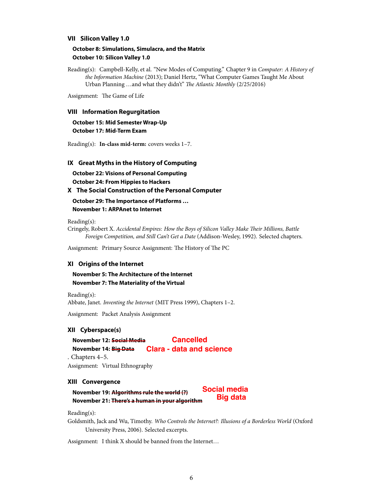#### **VII Silicon Valley 1.0**

#### **October 8: Simulations, Simulacra, and the Matrix October 10: Silicon Valley 1.0**

Reading(s): Campbell-Kelly, et al. "New Modes of Computing." Chapter 9 in Computer: A History of the Information Machine (2013); Daniel Hertz, "What Computer Games Taught Me About Urban Planning …and what they didn't" The Atlantic Monthly (2/25/2016)

Assignment: The Game of Life

#### **VIII Information Regurgitation**

**October 15: Mid Semester Wrap-Up October 17: Mid-Term Exam**

Reading(s): **In-class mid-term:** covers weeks 1–7.

#### **IX Great Myths in the History of Computing**

**October 22: Visions of Personal Computing October 24: From Hippies to Hackers**

#### **X The Social Construction of the Personal Computer**

**October 29: The Importance of Platforms … November 1: ARPAnet to Internet**

Reading(s):

Cringely, Robert X. Accidental Empires: How the Boys of Silicon Valley Make Their Millions, Battle Foreign Competition, and Still Can't Get a Date (Addison-Wesley, 1992). Selected chapters.

Assignment: Primary Source Assignment: The History of The PC

#### **XI Origins of the Internet**

**November 5: The Architecture of the Internet November 7: The Materiality of the Virtual**

Reading(s):

Abbate, Janet. Inventing the Internet (MIT Press 1999), Chapters 1–2.

Assignment: Packet Analysis Assignment

#### **XII Cyberspace(s)**

**November 12: Social Media November 14: Big Data Cancelled Clara - data and science**

. Chapters 4–5.

Assignment: Virtual Ethnography

#### **XIII Convergence**

**November 19: Algorithms rule the world (?) November 21: There's a human in your algorithm Social media Big data**

Reading(s):

Goldsmith, Jack and Wu, Timothy. Who Controls the Internet?: Illusions of a Borderless World (Oxford University Press, 2006). Selected excerpts.

Assignment: I think X should be banned from the Internet…